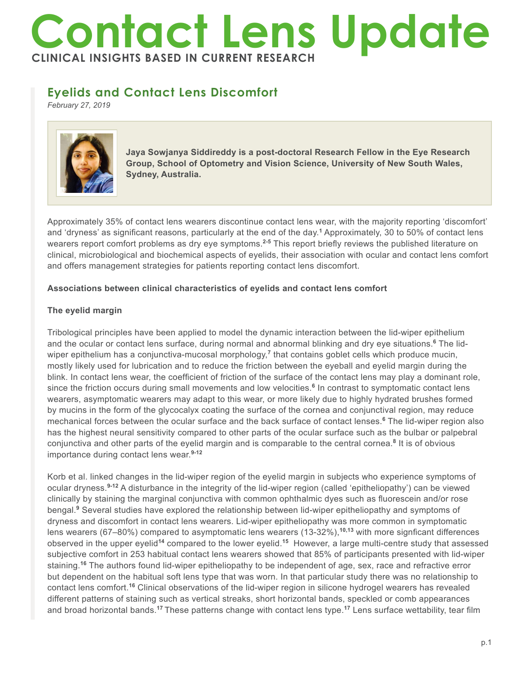# **Contact Lens Update CLINICAL INSIGHTS BASED IN CURRENT RESEARCH**

# **Eyelids and Contact Lens Discomfort**

*February 27, 2019*



**Jaya Sowjanya Siddireddy is a post-doctoral Research Fellow in the Eye Research Group, School of Optometry and Vision Science, University of New South Wales, Sydney, Australia.**

Approximately 35% of contact lens wearers discontinue contact lens wear, with the majority reporting 'discomfort' and 'dryness' as significant reasons, particularly at the end of the day.**<sup>1</sup>** Approximately, 30 to 50% of contact lens wearers report comfort problems as dry eye symptoms.**2-5** This report briefly reviews the published literature on clinical, microbiological and biochemical aspects of eyelids, their association with ocular and contact lens comfort and offers management strategies for patients reporting contact lens discomfort.

## **Associations between clinical characteristics of eyelids and contact lens comfort**

## **The eyelid margin**

Tribological principles have been applied to model the dynamic interaction between the lid-wiper epithelium and the ocular or contact lens surface, during normal and abnormal blinking and dry eye situations.**<sup>6</sup>** The lidwiper epithelium has a conjunctiva-mucosal morphology,**<sup>7</sup>** that contains goblet cells which produce mucin, mostly likely used for lubrication and to reduce the friction between the eyeball and eyelid margin during the blink. In contact lens wear, the coefficient of friction of the surface of the contact lens may play a dominant role, since the friction occurs during small movements and low velocities.**<sup>6</sup>** In contrast to symptomatic contact lens wearers, asymptomatic wearers may adapt to this wear, or more likely due to highly hydrated brushes formed by mucins in the form of the glycocalyx coating the surface of the cornea and conjunctival region, may reduce mechanical forces between the ocular surface and the back surface of contact lenses.**<sup>6</sup>** The lid-wiper region also has the highest neural sensitivity compared to other parts of the ocular surface such as the bulbar or palpebral conjunctiva and other parts of the eyelid margin and is comparable to the central cornea.<sup>8</sup> It is of obvious importance during contact lens wear.**9-12**

Korb et al. linked changes in the lid-wiper region of the eyelid margin in subjects who experience symptoms of ocular dryness.**9-12** A disturbance in the integrity of the lid-wiper region (called 'epitheliopathy') can be viewed clinically by staining the marginal conjunctiva with common ophthalmic dyes such as fluorescein and/or rose bengal.**<sup>9</sup>** Several studies have explored the relationship between lid-wiper epitheliopathy and symptoms of dryness and discomfort in contact lens wearers. Lid-wiper epitheliopathy was more common in symptomatic lens wearers (67–80%) compared to asymptomatic lens wearers (13-32%),**10,13** with more signficant differences observed in the upper eyelid**<sup>14</sup>** compared to the lower eyelid.**<sup>15</sup>** However, a large multi-centre study that assessed subjective comfort in 253 habitual contact lens wearers showed that 85% of participants presented with lid-wiper staining.**<sup>16</sup>** The authors found lid-wiper epitheliopathy to be independent of age, sex, race and refractive error but dependent on the habitual soft lens type that was worn. In that particular study there was no relationship to contact lens comfort.**<sup>16</sup>** Clinical observations of the lid-wiper region in silicone hydrogel wearers has revealed different patterns of staining such as vertical streaks, short horizontal bands, speckled or comb appearances and broad horizontal bands.**<sup>17</sup>**These patterns change with contact lens type.**<sup>17</sup>** Lens surface wettability, tear film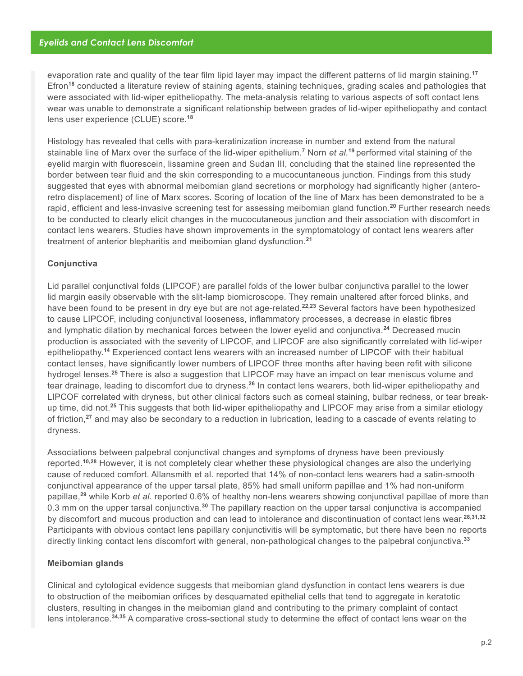evaporation rate and quality of the tear film lipid layer may impact the different patterns of lid margin staining.**<sup>17</sup>** Efron**<sup>18</sup>** conducted a literature review of staining agents, staining techniques, grading scales and pathologies that were associated with lid-wiper epitheliopathy. The meta-analysis relating to various aspects of soft contact lens wear was unable to demonstrate a significant relationship between grades of lid-wiper epitheliopathy and contact lens user experience (CLUE) score.**<sup>18</sup>**

Histology has revealed that cells with para-keratinization increase in number and extend from the natural stainable line of Marx over the surface of the lid-wiper epithelium.**<sup>7</sup>** Norn *et al.***<sup>19</sup>**performed vital staining of the eyelid margin with fluorescein, lissamine green and Sudan III, concluding that the stained line represented the border between tear fluid and the skin corresponding to a mucocuntaneous junction. Findings from this study suggested that eyes with abnormal meibomian gland secretions or morphology had significantly higher (anteroretro displacement) of line of Marx scores. Scoring of location of the line of Marx has been demonstrated to be a rapid, efficient and less-invasive screening test for assessing meibomian gland function.**<sup>20</sup>** Further research needs to be conducted to clearly elicit changes in the mucocutaneous junction and their association with discomfort in contact lens wearers. Studies have shown improvements in the symptomatology of contact lens wearers after treatment of anterior blepharitis and meibomian gland dysfunction.**<sup>21</sup>**

#### **Conjunctiva**

Lid parallel conjunctival folds (LIPCOF) are parallel folds of the lower bulbar conjunctiva parallel to the lower lid margin easily observable with the slit-lamp biomicroscope. They remain unaltered after forced blinks, and have been found to be present in dry eye but are not age-related.**22,23** Several factors have been hypothesized to cause LIPCOF, including conjunctival looseness, inflammatory processes, a decrease in elastic fibres and lymphatic dilation by mechanical forces between the lower eyelid and conjunctiva.**<sup>24</sup>** Decreased mucin production is associated with the severity of LIPCOF, and LIPCOF are also significantly correlated with lid-wiper epitheliopathy.**<sup>14</sup>** Experienced contact lens wearers with an increased number of LIPCOF with their habitual contact lenses, have significantly lower numbers of LIPCOF three months after having been refit with silicone hydrogel lenses.**<sup>25</sup>** There is also a suggestion that LIPCOF may have an impact on tear meniscus volume and tear drainage, leading to discomfort due to dryness.**<sup>26</sup>** In contact lens wearers, both lid-wiper epitheliopathy and LIPCOF correlated with dryness, but other clinical factors such as corneal staining, bulbar redness, or tear breakup time, did not.**<sup>25</sup>** This suggests that both lid-wiper epitheliopathy and LIPCOF may arise from a similar etiology of friction,**<sup>27</sup>** and may also be secondary to a reduction in lubrication, leading to a cascade of events relating to dryness.

Associations between palpebral conjunctival changes and symptoms of dryness have been previously reported.**10,28** However, it is not completely clear whether these physiological changes are also the underlying cause of reduced comfort. Allansmith et al. reported that 14% of non-contact lens wearers had a satin-smooth conjunctival appearance of the upper tarsal plate, 85% had small uniform papillae and 1% had non-uniform papillae,**<sup>29</sup>** while Korb *et al.* reported 0.6% of healthy non-lens wearers showing conjunctival papillae of more than 0.3 mm on the upper tarsal conjunctiva.**<sup>30</sup>** The papillary reaction on the upper tarsal conjunctiva is accompanied by discomfort and mucous production and can lead to intolerance and discontinuation of contact lens wear.**28,31,32** Participants with obvious contact lens papillary conjunctivitis will be symptomatic, but there have been no reports directly linking contact lens discomfort with general, non-pathological changes to the palpebral conjunctiva.**<sup>33</sup>**

#### **Meibomian glands**

Clinical and cytological evidence suggests that meibomian gland dysfunction in contact lens wearers is due to obstruction of the meibomian orifices by desquamated epithelial cells that tend to aggregate in keratotic clusters, resulting in changes in the meibomian gland and contributing to the primary complaint of contact lens intolerance.**34,35** A comparative cross-sectional study to determine the effect of contact lens wear on the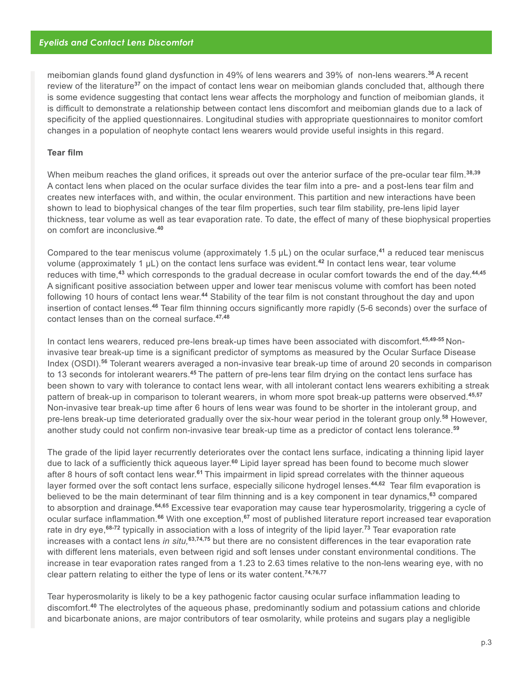meibomian glands found gland dysfunction in 49% of lens wearers and 39% of non-lens wearers.**<sup>36</sup>**A recent review of the literature**<sup>37</sup>** on the impact of contact lens wear on meibomian glands concluded that, although there is some evidence suggesting that contact lens wear affects the morphology and function of meibomian glands, it is difficult to demonstrate a relationship between contact lens discomfort and meibomian glands due to a lack of specificity of the applied questionnaires. Longitudinal studies with appropriate questionnaires to monitor comfort changes in a population of neophyte contact lens wearers would provide useful insights in this regard.

#### **Tear film**

When meibum reaches the gland orifices, it spreads out over the anterior surface of the pre-ocular tear film.**38,39** A contact lens when placed on the ocular surface divides the tear film into a pre- and a post-lens tear film and creates new interfaces with, and within, the ocular environment. This partition and new interactions have been shown to lead to biophysical changes of the tear film properties, such tear film stability, pre-lens lipid layer thickness, tear volume as well as tear evaporation rate. To date, the effect of many of these biophysical properties on comfort are inconclusive.**<sup>40</sup>**

Compared to the tear meniscus volume (approximately 1.5 µL) on the ocular surface,**<sup>41</sup>** a reduced tear meniscus volume (approximately 1 µL) on the contact lens surface was evident.**<sup>42</sup>** In contact lens wear, tear volume reduces with time,**<sup>43</sup>** which corresponds to the gradual decrease in ocular comfort towards the end of the day.**44,45** A significant positive association between upper and lower tear meniscus volume with comfort has been noted following 10 hours of contact lens wear.**<sup>44</sup>** Stability of the tear film is not constant throughout the day and upon insertion of contact lenses.**<sup>46</sup>** Tear film thinning occurs significantly more rapidly (5-6 seconds) over the surface of contact lenses than on the corneal surface.**47,48**

In contact lens wearers, reduced pre-lens break-up times have been associated with discomfort.**45,49-55** Noninvasive tear break-up time is a significant predictor of symptoms as measured by the Ocular Surface Disease Index (OSDI).**<sup>56</sup>** Tolerant wearers averaged a non-invasive tear break-up time of around 20 seconds in comparison to 13 seconds for intolerant wearers.**<sup>45</sup>**The pattern of pre-lens tear film drying on the contact lens surface has been shown to vary with tolerance to contact lens wear, with all intolerant contact lens wearers exhibiting a streak pattern of break-up in comparison to tolerant wearers, in whom more spot break-up patterns were observed.**45,57** Non-invasive tear break-up time after 6 hours of lens wear was found to be shorter in the intolerant group, and pre-lens break-up time deteriorated gradually over the six-hour wear period in the tolerant group only.**<sup>58</sup>** However, another study could not confirm non-invasive tear break-up time as a predictor of contact lens tolerance.**<sup>59</sup>**

The grade of the lipid layer recurrently deteriorates over the contact lens surface, indicating a thinning lipid layer due to lack of a sufficiently thick aqueous layer.**<sup>60</sup>** Lipid layer spread has been found to become much slower after 8 hours of soft contact lens wear.**<sup>61</sup>**This impairment in lipid spread correlates with the thinner aqueous layer formed over the soft contact lens surface, especially silicone hydrogel lenses.**44,62** Tear film evaporation is believed to be the main determinant of tear film thinning and is a key component in tear dynamics,**<sup>63</sup>** compared to absorption and drainage.**64,65** Excessive tear evaporation may cause tear hyperosmolarity, triggering a cycle of ocular surface inflammation.**<sup>66</sup>** With one exception,**<sup>67</sup>** most of published literature report increased tear evaporation rate in dry eye,**68-72** typically in association with a loss of integrity of the lipid layer.**<sup>73</sup>** Tear evaporation rate increases with a contact lens *in situ,***63,74,75** but there are no consistent differences in the tear evaporation rate with different lens materials, even between rigid and soft lenses under constant environmental conditions. The increase in tear evaporation rates ranged from a 1.23 to 2.63 times relative to the non-lens wearing eye, with no clear pattern relating to either the type of lens or its water content.**74,76,77**

Tear hyperosmolarity is likely to be a key pathogenic factor causing ocular surface inflammation leading to discomfort.**<sup>40</sup>** The electrolytes of the aqueous phase, predominantly sodium and potassium cations and chloride and bicarbonate anions, are major contributors of tear osmolarity, while proteins and sugars play a negligible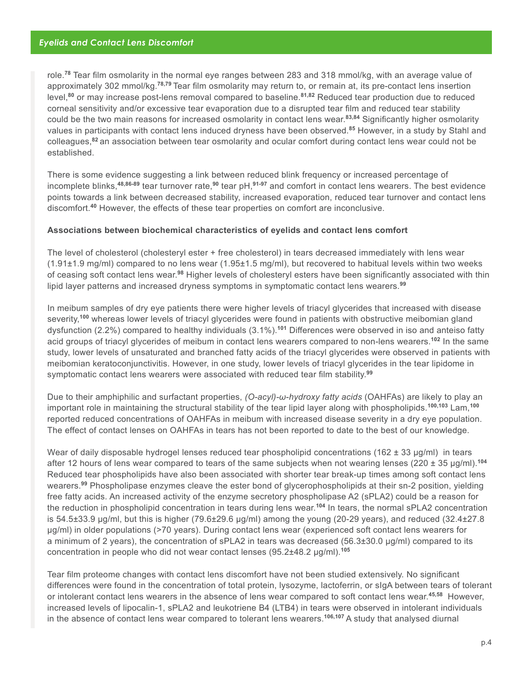role.**<sup>78</sup>** Tear film osmolarity in the normal eye ranges between 283 and 318 mmol/kg, with an average value of approximately 302 mmol/kg.**78,79** Tear film osmolarity may return to, or remain at, its pre-contact lens insertion level,**<sup>80</sup>** or may increase post-lens removal compared to baseline.**81,82** Reduced tear production due to reduced corneal sensitivity and/or excessive tear evaporation due to a disrupted tear film and reduced tear stability could be the two main reasons for increased osmolarity in contact lens wear.**83,84** Significantly higher osmolarity values in participants with contact lens induced dryness have been observed.**<sup>85</sup>** However, in a study by Stahl and colleagues,**<sup>82</sup>**an association between tear osmolarity and ocular comfort during contact lens wear could not be established.

There is some evidence suggesting a link between reduced blink frequency or increased percentage of incomplete blinks,**48,86-89** tear turnover rate,**<sup>90</sup>** tear pH,**91-97** and comfort in contact lens wearers. The best evidence points towards a link between decreased stability, increased evaporation, reduced tear turnover and contact lens discomfort.**<sup>40</sup>** However, the effects of these tear properties on comfort are inconclusive.

#### **Associations between biochemical characteristics of eyelids and contact lens comfort**

The level of cholesterol (cholesteryl ester + free cholesterol) in tears decreased immediately with lens wear (1.91±1.9 mg/ml) compared to no lens wear (1.95±1.5 mg/ml), but recovered to habitual levels within two weeks of ceasing soft contact lens wear.**<sup>98</sup>** Higher levels of cholesteryl esters have been significantly associated with thin lipid layer patterns and increased dryness symptoms in symptomatic contact lens wearers.**<sup>99</sup>**

In meibum samples of dry eye patients there were higher levels of triacyl glycerides that increased with disease severity,**<sup>100</sup>** whereas lower levels of triacyl glycerides were found in patients with obstructive meibomian gland dysfunction (2.2%) compared to healthy individuals (3.1%).**<sup>101</sup>** Differences were observed in iso and anteiso fatty acid groups of triacyl glycerides of meibum in contact lens wearers compared to non-lens wearers.**<sup>102</sup>** In the same study, lower levels of unsaturated and branched fatty acids of the triacyl glycerides were observed in patients with meibomian keratoconjunctivitis. However, in one study, lower levels of triacyl glycerides in the tear lipidome in symptomatic contact lens wearers were associated with reduced tear film stability.**<sup>99</sup>**

Due to their amphiphilic and surfactant properties, *(O-acyl)-ω-hydroxy fatty acids* (OAHFAs) are likely to play an important role in maintaining the structural stability of the tear lipid layer along with phospholipids.**100,103** Lam,**<sup>100</sup>** reported reduced concentrations of OAHFAs in meibum with increased disease severity in a dry eye population. The effect of contact lenses on OAHFAs in tears has not been reported to date to the best of our knowledge.

Wear of daily disposable hydrogel lenses reduced tear phospholipid concentrations (162  $\pm$  33 µg/ml) in tears after 12 hours of lens wear compared to tears of the same subjects when not wearing lenses (220 ± 35 μg/ml).**<sup>104</sup>** Reduced tear phospholipids have also been associated with shorter tear break-up times among soft contact lens wearers.**<sup>99</sup>** Phospholipase enzymes cleave the ester bond of glycerophospholipids at their sn-2 position, yielding free fatty acids. An increased activity of the enzyme secretory phospholipase A2 (sPLA2) could be a reason for the reduction in phospholipid concentration in tears during lens wear.**<sup>104</sup>** In tears, the normal sPLA2 concentration is 54.5±33.9 μg/ml, but this is higher (79.6±29.6 μg/ml) among the young (20-29 years), and reduced (32.4±27.8 μg/ml) in older populations (>70 years). During contact lens wear (experienced soft contact lens wearers for a minimum of 2 years), the concentration of sPLA2 in tears was decreased (56.3±30.0 μg/ml) compared to its concentration in people who did not wear contact lenses (95.2±48.2 μg/ml).**<sup>105</sup>**

Tear film proteome changes with contact lens discomfort have not been studied extensively. No significant differences were found in the concentration of total protein, lysozyme, lactoferrin, or sIgA between tears of tolerant or intolerant contact lens wearers in the absence of lens wear compared to soft contact lens wear.**45,58** However, increased levels of lipocalin-1, sPLA2 and leukotriene B4 (LTB4) in tears were observed in intolerant individuals in the absence of contact lens wear compared to tolerant lens wearers.**106,107** A study that analysed diurnal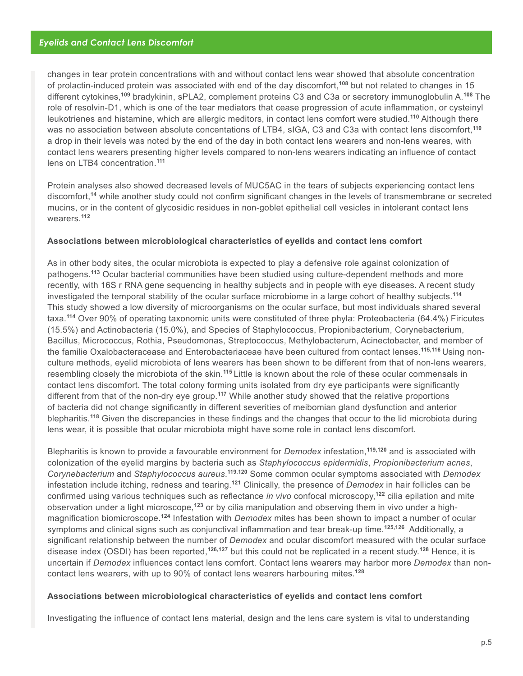changes in tear protein concentrations with and without contact lens wear showed that absolute concentration of prolactin-induced protein was associated with end of the day discomfort,**<sup>108</sup>** but not related to changes in 15 different cytokines,**<sup>109</sup>** bradykinin, sPLA2, complement proteins C3 and C3a or secretory immunoglobulin A.**<sup>108</sup>** The role of resolvin-D1, which is one of the tear mediators that cease progression of acute inflammation, or cysteinyl leukotrienes and histamine, which are allergic meditors, in contact lens comfort were studied.**<sup>110</sup>** Although there was no association between absolute concentations of LTB4, sIGA, C3 and C3a with contact lens discomfort,**<sup>110</sup>** a drop in their levels was noted by the end of the day in both contact lens wearers and non-lens weares, with contact lens wearers presenting higher levels compared to non-lens wearers indicating an influence of contact lens on LTB4 concentration.**<sup>111</sup>**

Protein analyses also showed decreased levels of MUC5AC in the tears of subjects experiencing contact lens discomfort,**<sup>14</sup>** while another study could not confirm significant changes in the levels of transmembrane or secreted mucins, or in the content of glycosidic residues in non-goblet epithelial cell vesicles in intolerant contact lens wearers.**<sup>112</sup>**

#### **Associations between microbiological characteristics of eyelids and contact lens comfort**

As in other body sites, the ocular microbiota is expected to play a defensive role against colonization of pathogens.**<sup>113</sup>** Ocular bacterial communities have been studied using culture-dependent methods and more recently, with 16S r RNA gene sequencing in healthy subjects and in people with eye diseases. A recent study investigated the temporal stability of the ocular surface microbiome in a large cohort of healthy subjects.**<sup>114</sup>** This study showed a low diversity of microorganisms on the ocular surface, but most individuals shared several taxa.**<sup>114</sup>** Over 90% of operating taxonomic units were constituted of three phyla: Proteobacteria (64.4%) Firicutes (15.5%) and Actinobacteria (15.0%), and Species of Staphylococcus, Propionibacterium, Corynebacterium, Bacillus, Micrococcus, Rothia, Pseudomonas, Streptococcus, Methylobacterum, Acinectobacter, and member of the familie Oxalobacteracease and Enterobacteriaceae have been cultured from contact lenses.**115,116** Using nonculture methods, eyelid microbiota of lens wearers has been shown to be different from that of non-lens wearers, resembling closely the microbiota of the skin.**<sup>115</sup>**Little is known about the role of these ocular commensals in contact lens discomfort. The total colony forming units isolated from dry eye participants were significantly different from that of the non-dry eye group.**<sup>117</sup>** While another study showed that the relative proportions of bacteria did not change significantly in different severities of meibomian gland dysfunction and anterior blepharitis.**<sup>118</sup>** Given the discrepancies in these findings and the changes that occur to the lid microbiota during lens wear, it is possible that ocular microbiota might have some role in contact lens discomfort.

Blepharitis is known to provide a favourable environment for *Demodex* infestation,**119,120** and is associated with colonization of the eyelid margins by bacteria such as *Staphylococcus epidermidis*, *Propionibacterium acnes*, *Corynebacterium* and *Staphylococcus aureus*. **119,120** Some common ocular symptoms associated with *Demodex* infestation include itching, redness and tearing.**<sup>121</sup>** Clinically, the presence of *Demodex* in hair follicles can be confirmed using various techniques such as reflectance *in vivo* confocal microscopy,**<sup>122</sup>** cilia epilation and mite observation under a light microscope,**123** or by cilia manipulation and observing them in vivo under a highmagnification biomicroscope.**<sup>124</sup>** Infestation with *Demodex* mites has been shown to impact a number of ocular symptoms and clinical signs such as conjunctival inflammation and tear break-up time.**125,126** Additionally, a significant relationship between the number of *Demodex* and ocular discomfort measured with the ocular surface disease index (OSDI) has been reported,**126,127** but this could not be replicated in a recent study.**<sup>128</sup>** Hence, it is uncertain if *Demodex* influences contact lens comfort. Contact lens wearers may harbor more *Demodex* than noncontact lens wearers, with up to 90% of contact lens wearers harbouring mites.**<sup>128</sup>**

#### **Associations between microbiological characteristics of eyelids and contact lens comfort**

Investigating the influence of contact lens material, design and the lens care system is vital to understanding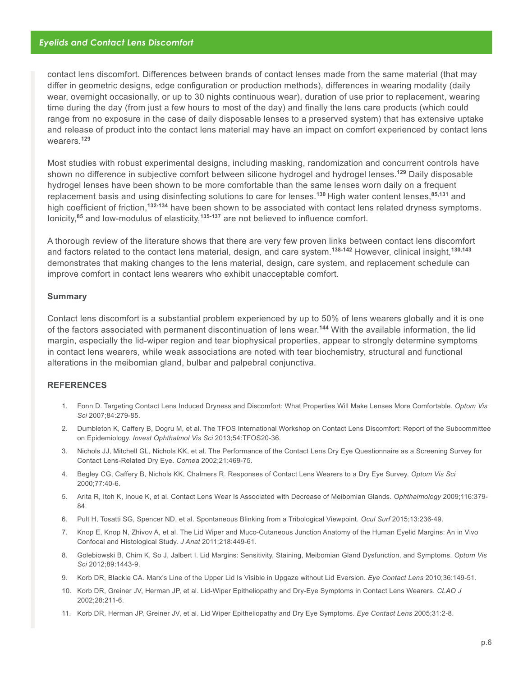#### *Eyelids and Contact Lens Discomfort*

contact lens discomfort. Differences between brands of contact lenses made from the same material (that may differ in geometric designs, edge configuration or production methods), differences in wearing modality (daily wear, overnight occasionally, or up to 30 nights continuous wear), duration of use prior to replacement, wearing time during the day (from just a few hours to most of the day) and finally the lens care products (which could range from no exposure in the case of daily disposable lenses to a preserved system) that has extensive uptake and release of product into the contact lens material may have an impact on comfort experienced by contact lens wearers.**<sup>129</sup>**

Most studies with robust experimental designs, including masking, randomization and concurrent controls have shown no difference in subjective comfort between silicone hydrogel and hydrogel lenses.**<sup>129</sup>** Daily disposable hydrogel lenses have been shown to be more comfortable than the same lenses worn daily on a frequent replacement basis and using disinfecting solutions to care for lenses.**<sup>130</sup>**High water content lenses,**85,131** and high coefficient of friction,**132-134** have been shown to be associated with contact lens related dryness symptoms. Ionicity,**<sup>85</sup>** and low-modulus of elasticity,**135-137** are not believed to influence comfort.

A thorough review of the literature shows that there are very few proven links between contact lens discomfort and factors related to the contact lens material, design, and care system.**138-142** However, clinical insight,**130,143** demonstrates that making changes to the lens material, design, care system, and replacement schedule can improve comfort in contact lens wearers who exhibit unacceptable comfort.

#### **Summary**

Contact lens discomfort is a substantial problem experienced by up to 50% of lens wearers globally and it is one of the factors associated with permanent discontinuation of lens wear.**<sup>144</sup>** With the available information, the lid margin, especially the lid-wiper region and tear biophysical properties, appear to strongly determine symptoms in contact lens wearers, while weak associations are noted with tear biochemistry, structural and functional alterations in the meibomian gland, bulbar and palpebral conjunctiva.

#### **REFERENCES**

- 1. Fonn D. Targeting Contact Lens Induced Dryness and Discomfort: What Properties Will Make Lenses More Comfortable. *Optom Vis Sci* 2007;84:279-85.
- 2. Dumbleton K, Caffery B, Dogru M, et al. The TFOS International Workshop on Contact Lens Discomfort: Report of the Subcommittee on Epidemiology. *Invest Ophthalmol Vis Sci* 2013;54:TFOS20-36.
- 3. Nichols JJ, Mitchell GL, Nichols KK, et al. The Performance of the Contact Lens Dry Eye Questionnaire as a Screening Survey for Contact Lens-Related Dry Eye. *Cornea* 2002;21:469-75.
- 4. Begley CG, Caffery B, Nichols KK, Chalmers R. Responses of Contact Lens Wearers to a Dry Eye Survey. *Optom Vis Sci*  2000;77:40-6.
- 5. Arita R, Itoh K, Inoue K, et al. Contact Lens Wear Is Associated with Decrease of Meibomian Glands. *Ophthalmology* 2009;116:379- 84.
- 6. Pult H, Tosatti SG, Spencer ND, et al. Spontaneous Blinking from a Tribological Viewpoint. *Ocul Surf* 2015;13:236-49.
- 7. Knop E, Knop N, Zhivov A, et al. The Lid Wiper and Muco-Cutaneous Junction Anatomy of the Human Eyelid Margins: An in Vivo Confocal and Histological Study. *J Anat* 2011;218:449-61.
- 8. Golebiowski B, Chim K, So J, Jalbert I. Lid Margins: Sensitivity, Staining, Meibomian Gland Dysfunction, and Symptoms. *Optom Vis Sci* 2012;89:1443-9.
- 9. Korb DR, Blackie CA. Marx's Line of the Upper Lid Is Visible in Upgaze without Lid Eversion. *Eye Contact Lens* 2010;36:149-51.
- 10. Korb DR, Greiner JV, Herman JP, et al. Lid-Wiper Epitheliopathy and Dry-Eye Symptoms in Contact Lens Wearers. *CLAO J*  2002;28:211-6.
- 11. Korb DR, Herman JP, Greiner JV, et al. Lid Wiper Epitheliopathy and Dry Eye Symptoms. *Eye Contact Lens* 2005;31:2-8.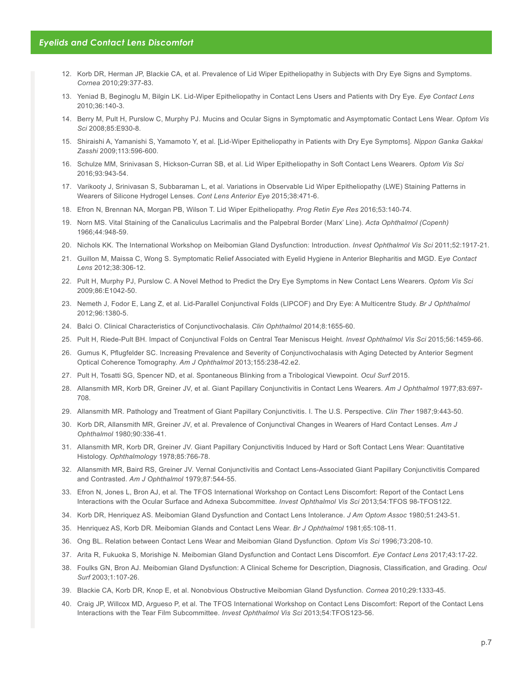- 12. Korb DR, Herman JP, Blackie CA, et al. Prevalence of Lid Wiper Epitheliopathy in Subjects with Dry Eye Signs and Symptoms. *Cornea* 2010;29:377-83.
- 13. Yeniad B, Beginoglu M, Bilgin LK. Lid-Wiper Epitheliopathy in Contact Lens Users and Patients with Dry Eye. *Eye Contact Lens* 2010;36:140-3.
- 14. Berry M, Pult H, Purslow C, Murphy PJ. Mucins and Ocular Signs in Symptomatic and Asymptomatic Contact Lens Wear. *Optom Vis Sci* 2008;85:E930-8.
- 15. Shiraishi A, Yamanishi S, Yamamoto Y, et al. [Lid-Wiper Epitheliopathy in Patients with Dry Eye Symptoms]. *Nippon Ganka Gakkai Zasshi* 2009;113:596-600.
- 16. Schulze MM, Srinivasan S, Hickson-Curran SB, et al. Lid Wiper Epitheliopathy in Soft Contact Lens Wearers. *Optom Vis Sci* 2016;93:943-54.
- 17. Varikooty J, Srinivasan S, Subbaraman L, et al. Variations in Observable Lid Wiper Epitheliopathy (LWE) Staining Patterns in Wearers of Silicone Hydrogel Lenses. *Cont Lens Anterior Eye* 2015;38:471-6.
- 18. Efron N, Brennan NA, Morgan PB, Wilson T. Lid Wiper Epitheliopathy. *Prog Retin Eye Res* 2016;53:140-74.
- 19. Norn MS. Vital Staining of the Canaliculus Lacrimalis and the Palpebral Border (Marx' Line). *Acta Ophthalmol (Copenh)*  1966;44:948-59.
- 20. Nichols KK. The International Workshop on Meibomian Gland Dysfunction: Introduction. *Invest Ophthalmol Vis Sci* 2011;52:1917-21.
- 21. Guillon M, Maissa C, Wong S. Symptomatic Relief Associated with Eyelid Hygiene in Anterior Blepharitis and MGD. E*ye Contact Lens* 2012;38:306-12.
- 22. Pult H, Murphy PJ, Purslow C. A Novel Method to Predict the Dry Eye Symptoms in New Contact Lens Wearers. *Optom Vis Sci*  2009;86:E1042-50.
- 23. Nemeth J, Fodor E, Lang Z, et al. Lid-Parallel Conjunctival Folds (LIPCOF) and Dry Eye: A Multicentre Study. *Br J Ophthalmol*  2012;96:1380-5.
- 24. Balci O. Clinical Characteristics of Conjunctivochalasis. *Clin Ophthalmol* 2014;8:1655-60.
- 25. Pult H, Riede-Pult BH. Impact of Conjunctival Folds on Central Tear Meniscus Height. *Invest Ophthalmol Vis Sci* 2015;56:1459-66.
- 26. Gumus K, Pflugfelder SC. Increasing Prevalence and Severity of Conjunctivochalasis with Aging Detected by Anterior Segment Optical Coherence Tomography. *Am J Ophthalmol* 2013;155:238-42.e2.
- 27. Pult H, Tosatti SG, Spencer ND, et al. Spontaneous Blinking from a Tribological Viewpoint. *Ocul Surf* 2015.
- 28. Allansmith MR, Korb DR, Greiner JV, et al. Giant Papillary Conjunctivitis in Contact Lens Wearers. *Am J Ophthalmol* 1977;83:697- 708.
- 29. Allansmith MR. Pathology and Treatment of Giant Papillary Conjunctivitis. I. The U.S. Perspective. *Clin Ther* 1987;9:443-50.
- 30. Korb DR, Allansmith MR, Greiner JV, et al. Prevalence of Conjunctival Changes in Wearers of Hard Contact Lenses. *Am J Ophthalmol* 1980;90:336-41.
- 31. Allansmith MR, Korb DR, Greiner JV. Giant Papillary Conjunctivitis Induced by Hard or Soft Contact Lens Wear: Quantitative Histology. *Ophthalmology* 1978;85:766-78.
- 32. Allansmith MR, Baird RS, Greiner JV. Vernal Conjunctivitis and Contact Lens-Associated Giant Papillary Conjunctivitis Compared and Contrasted. *Am J Ophthalmol* 1979;87:544-55.
- 33. Efron N, Jones L, Bron AJ, et al. The TFOS International Workshop on Contact Lens Discomfort: Report of the Contact Lens Interactions with the Ocular Surface and Adnexa Subcommittee. *Invest Ophthalmol Vis Sci* 2013;54:TFOS 98-TFOS122.
- 34. Korb DR, Henriquez AS. Meibomian Gland Dysfunction and Contact Lens Intolerance. *J Am Optom Assoc* 1980;51:243-51.
- 35. Henriquez AS, Korb DR. Meibomian Glands and Contact Lens Wear. *Br J Ophthalmol* 1981;65:108-11.
- 36. Ong BL. Relation between Contact Lens Wear and Meibomian Gland Dysfunction. *Optom Vis Sci* 1996;73:208-10.
- 37. Arita R, Fukuoka S, Morishige N. Meibomian Gland Dysfunction and Contact Lens Discomfort. *Eye Contact Lens* 2017;43:17-22.
- 38. Foulks GN, Bron AJ. Meibomian Gland Dysfunction: A Clinical Scheme for Description, Diagnosis, Classification, and Grading. *Ocul Surf* 2003;1:107-26.
- 39. Blackie CA, Korb DR, Knop E, et al. Nonobvious Obstructive Meibomian Gland Dysfunction. *Cornea* 2010;29:1333-45.
- 40. Craig JP, Willcox MD, Argueso P, et al. The TFOS International Workshop on Contact Lens Discomfort: Report of the Contact Lens Interactions with the Tear Film Subcommittee. *Invest Ophthalmol Vis Sci* 2013;54:TFOS123-56.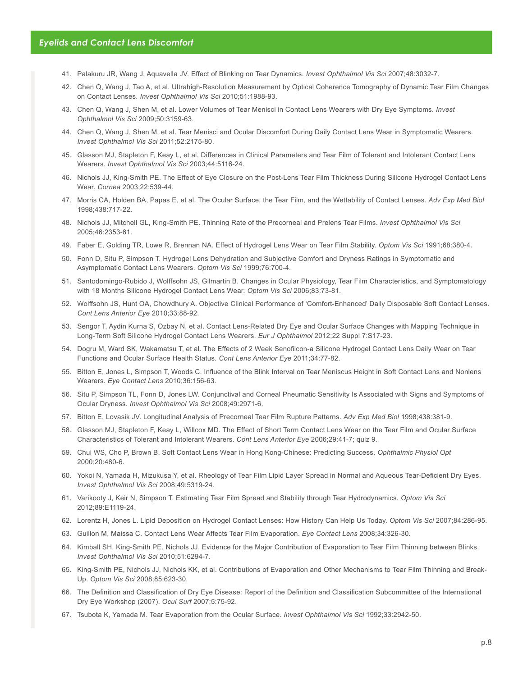- 41. Palakuru JR, Wang J, Aquavella JV. Effect of Blinking on Tear Dynamics. *Invest Ophthalmol Vis Sci* 2007;48:3032-7.
- 42. Chen Q, Wang J, Tao A, et al. Ultrahigh-Resolution Measurement by Optical Coherence Tomography of Dynamic Tear Film Changes on Contact Lenses. *Invest Ophthalmol Vis Sci* 2010;51:1988-93.
- 43. Chen Q, Wang J, Shen M, et al. Lower Volumes of Tear Menisci in Contact Lens Wearers with Dry Eye Symptoms. *Invest Ophthalmol Vis Sci* 2009;50:3159-63.
- 44. Chen Q, Wang J, Shen M, et al. Tear Menisci and Ocular Discomfort During Daily Contact Lens Wear in Symptomatic Wearers. *Invest Ophthalmol Vis Sci* 2011;52:2175-80.
- 45. Glasson MJ, Stapleton F, Keay L, et al. Differences in Clinical Parameters and Tear Film of Tolerant and Intolerant Contact Lens Wearers. *Invest Ophthalmol Vis Sci* 2003;44:5116-24.
- 46. Nichols JJ, King-Smith PE. The Effect of Eye Closure on the Post-Lens Tear Film Thickness During Silicone Hydrogel Contact Lens Wear. *Cornea* 2003;22:539-44.
- 47. Morris CA, Holden BA, Papas E, et al. The Ocular Surface, the Tear Film, and the Wettability of Contact Lenses. *Adv Exp Med Biol* 1998;438:717-22.
- 48. Nichols JJ, Mitchell GL, King-Smith PE. Thinning Rate of the Precorneal and Prelens Tear Films. *Invest Ophthalmol Vis Sci* 2005;46:2353-61.
- 49. Faber E, Golding TR, Lowe R, Brennan NA. Effect of Hydrogel Lens Wear on Tear Film Stability. *Optom Vis Sci* 1991;68:380-4.
- 50. Fonn D, Situ P, Simpson T. Hydrogel Lens Dehydration and Subjective Comfort and Dryness Ratings in Symptomatic and Asymptomatic Contact Lens Wearers. *Optom Vis Sci* 1999;76:700-4.
- 51. Santodomingo-Rubido J, Wolffsohn JS, Gilmartin B. Changes in Ocular Physiology, Tear Film Characteristics, and Symptomatology with 18 Months Silicone Hydrogel Contact Lens Wear. *Optom Vis Sci* 2006;83:73-81.
- 52. Wolffsohn JS, Hunt OA, Chowdhury A. Objective Clinical Performance of 'Comfort-Enhanced' Daily Disposable Soft Contact Lenses. *Cont Lens Anterior Eye* 2010;33:88-92.
- 53. Sengor T, Aydin Kurna S, Ozbay N, et al. Contact Lens-Related Dry Eye and Ocular Surface Changes with Mapping Technique in Long-Term Soft Silicone Hydrogel Contact Lens Wearers. *Eur J Ophthalmol* 2012;22 Suppl 7:S17-23.
- 54. Dogru M, Ward SK, Wakamatsu T, et al. The Effects of 2 Week Senofilcon-a Silicone Hydrogel Contact Lens Daily Wear on Tear Functions and Ocular Surface Health Status. *Cont Lens Anterior Eye* 2011;34:77-82.
- 55. Bitton E, Jones L, Simpson T, Woods C. Influence of the Blink Interval on Tear Meniscus Height in Soft Contact Lens and Nonlens Wearers. *Eye Contact Lens* 2010;36:156-63.
- 56. Situ P, Simpson TL, Fonn D, Jones LW. Conjunctival and Corneal Pneumatic Sensitivity Is Associated with Signs and Symptoms of Ocular Dryness. *Invest Ophthalmol Vis Sci* 2008;49:2971-6.
- 57. Bitton E, Lovasik JV. Longitudinal Analysis of Precorneal Tear Film Rupture Patterns. *Adv Exp Med Biol* 1998;438:381-9.
- 58. Glasson MJ, Stapleton F, Keay L, Willcox MD. The Effect of Short Term Contact Lens Wear on the Tear Film and Ocular Surface Characteristics of Tolerant and Intolerant Wearers. *Cont Lens Anterior Eye* 2006;29:41-7; quiz 9.
- 59. Chui WS, Cho P, Brown B. Soft Contact Lens Wear in Hong Kong-Chinese: Predicting Success. *Ophthalmic Physiol Opt* 2000;20:480-6.
- 60. Yokoi N, Yamada H, Mizukusa Y, et al. Rheology of Tear Film Lipid Layer Spread in Normal and Aqueous Tear-Deficient Dry Eyes. *Invest Ophthalmol Vis Sci* 2008;49:5319-24.
- 61. Varikooty J, Keir N, Simpson T. Estimating Tear Film Spread and Stability through Tear Hydrodynamics. *Optom Vis Sci*  2012;89:E1119-24.
- 62. Lorentz H, Jones L. Lipid Deposition on Hydrogel Contact Lenses: How History Can Help Us Today. *Optom Vis Sci* 2007;84:286-95.
- 63. Guillon M, Maissa C. Contact Lens Wear Affects Tear Film Evaporation. *Eye Contact Lens* 2008;34:326-30.
- 64. Kimball SH, King-Smith PE, Nichols JJ. Evidence for the Major Contribution of Evaporation to Tear Film Thinning between Blinks. *Invest Ophthalmol Vis Sci* 2010;51:6294-7.
- 65. King-Smith PE, Nichols JJ, Nichols KK, et al. Contributions of Evaporation and Other Mechanisms to Tear Film Thinning and Break-Up. *Optom Vis Sci* 2008;85:623-30.
- 66. The Definition and Classification of Dry Eye Disease: Report of the Definition and Classification Subcommittee of the International Dry Eye Workshop (2007). *Ocul Surf* 2007;5:75-92.
- 67. Tsubota K, Yamada M. Tear Evaporation from the Ocular Surface. *Invest Ophthalmol Vis Sci* 1992;33:2942-50.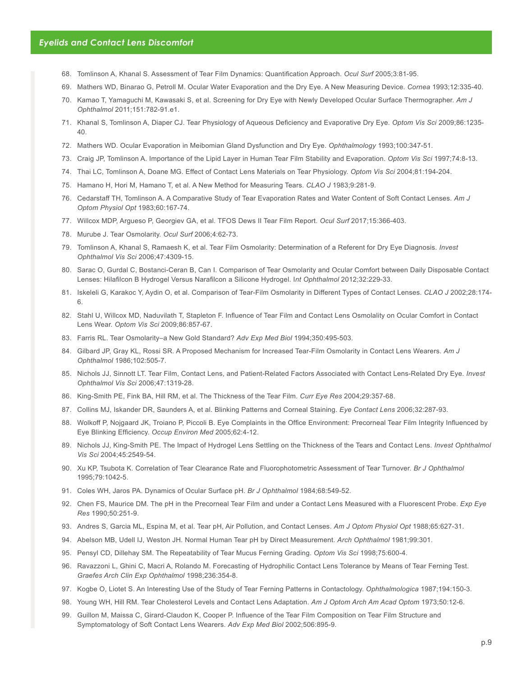- 68. Tomlinson A, Khanal S. Assessment of Tear Film Dynamics: Quantification Approach. *Ocul Surf* 2005;3:81-95.
- 69. Mathers WD, Binarao G, Petroll M. Ocular Water Evaporation and the Dry Eye. A New Measuring Device. *Cornea* 1993;12:335-40.
- 70. Kamao T, Yamaguchi M, Kawasaki S, et al. Screening for Dry Eye with Newly Developed Ocular Surface Thermographer. *Am J Ophthalmol* 2011;151:782-91.e1.
- 71. Khanal S, Tomlinson A, Diaper CJ. Tear Physiology of Aqueous Deficiency and Evaporative Dry Eye. *Optom Vis Sci* 2009;86:1235- 40.
- 72. Mathers WD. Ocular Evaporation in Meibomian Gland Dysfunction and Dry Eye. *Ophthalmology* 1993;100:347-51.
- 73. Craig JP, Tomlinson A. Importance of the Lipid Layer in Human Tear Film Stability and Evaporation. *Optom Vis Sci* 1997;74:8-13.
- 74. Thai LC, Tomlinson A, Doane MG. Effect of Contact Lens Materials on Tear Physiology. *Optom Vis Sci* 2004;81:194-204.
- 75. Hamano H, Hori M, Hamano T, et al. A New Method for Measuring Tears. *CLAO J* 1983;9:281-9.
- 76. Cedarstaff TH, Tomlinson A. A Comparative Study of Tear Evaporation Rates and Water Content of Soft Contact Lenses. *Am J Optom Physiol Opt* 1983;60:167-74.
- 77. Willcox MDP, Argueso P, Georgiev GA, et al. TFOS Dews II Tear Film Report. *Ocul Surf* 2017;15:366-403.
- 78. Murube J. Tear Osmolarity. *Ocul Surf* 2006;4:62-73.
- 79. Tomlinson A, Khanal S, Ramaesh K, et al. Tear Film Osmolarity: Determination of a Referent for Dry Eye Diagnosis. *Invest Ophthalmol Vis Sci* 2006;47:4309-15.
- 80. Sarac O, Gurdal C, Bostanci-Ceran B, Can I. Comparison of Tear Osmolarity and Ocular Comfort between Daily Disposable Contact Lenses: Hilafilcon B Hydrogel Versus Narafilcon a Silicone Hydrogel. I*nt Ophthalmol* 2012;32:229-33.
- 81. Iskeleli G, Karakoc Y, Aydin O, et al. Comparison of Tear-Film Osmolarity in Different Types of Contact Lenses. *CLAO J* 2002;28:174- 6.
- 82. Stahl U, Willcox MD, Naduvilath T, Stapleton F. Influence of Tear Film and Contact Lens Osmolality on Ocular Comfort in Contact Lens Wear. *Optom Vis Sci* 2009;86:857-67.
- 83. Farris RL. Tear Osmolarity–a New Gold Standard? *Adv Exp Med Biol* 1994;350:495-503.
- 84. Gilbard JP, Gray KL, Rossi SR. A Proposed Mechanism for Increased Tear-Film Osmolarity in Contact Lens Wearers. *Am J Ophthalmol* 1986;102:505-7.
- 85. Nichols JJ, Sinnott LT. Tear Film, Contact Lens, and Patient-Related Factors Associated with Contact Lens-Related Dry Eye. *Invest Ophthalmol Vis Sci* 2006;47:1319-28.
- 86. King-Smith PE, Fink BA, Hill RM, et al. The Thickness of the Tear Film. *Curr Eye Res* 2004;29:357-68.
- 87. Collins MJ, Iskander DR, Saunders A, et al. Blinking Patterns and Corneal Staining. *Eye Contact Lens* 2006;32:287-93.
- 88. Wolkoff P, Nojgaard JK, Troiano P, Piccoli B. Eye Complaints in the Office Environment: Precorneal Tear Film Integrity Influenced by Eye Blinking Efficiency. *Occup Environ Med* 2005;62:4-12.
- 89. Nichols JJ, King-Smith PE. The Impact of Hydrogel Lens Settling on the Thickness of the Tears and Contact Lens. *Invest Ophthalmol Vis Sci* 2004;45:2549-54.
- 90. Xu KP, Tsubota K. Correlation of Tear Clearance Rate and Fluorophotometric Assessment of Tear Turnover. *Br J Ophthalmol*  1995;79:1042-5.
- 91. Coles WH, Jaros PA. Dynamics of Ocular Surface pH. *Br J Ophthalmol* 1984;68:549-52.
- 92. Chen FS, Maurice DM. The pH in the Precorneal Tear Film and under a Contact Lens Measured with a Fluorescent Probe. *Exp Eye Res* 1990;50:251-9.
- 93. Andres S, Garcia ML, Espina M, et al. Tear pH, Air Pollution, and Contact Lenses. *Am J Optom Physiol Opt* 1988;65:627-31.
- 94. Abelson MB, Udell IJ, Weston JH. Normal Human Tear pH by Direct Measurement. *Arch Ophthalmol* 1981;99:301.
- 95. Pensyl CD, Dillehay SM. The Repeatability of Tear Mucus Ferning Grading. *Optom Vis Sci* 1998;75:600-4.
- 96. Ravazzoni L, Ghini C, Macri A, Rolando M. Forecasting of Hydrophilic Contact Lens Tolerance by Means of Tear Ferning Test. *Graefes Arch Clin Exp Ophthalmol* 1998;236:354-8.
- 97. Kogbe O, Liotet S. An Interesting Use of the Study of Tear Ferning Patterns in Contactology. *Ophthalmologica* 1987;194:150-3.
- 98. Young WH, Hill RM. Tear Cholesterol Levels and Contact Lens Adaptation. *Am J Optom Arch Am Acad Optom* 1973;50:12-6.
- 99. Guillon M, Maissa C, Girard-Claudon K, Cooper P. Influence of the Tear Film Composition on Tear Film Structure and Symptomatology of Soft Contact Lens Wearers. *Adv Exp Med Biol* 2002;506:895-9.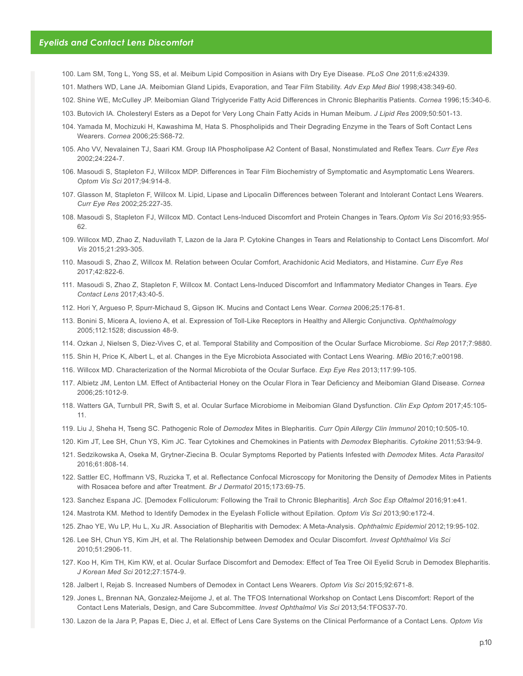- 100. Lam SM, Tong L, Yong SS, et al. Meibum Lipid Composition in Asians with Dry Eye Disease. *PLoS One* 2011;6:e24339.
- 101. Mathers WD, Lane JA. Meibomian Gland Lipids, Evaporation, and Tear Film Stability. *Adv Exp Med Biol* 1998;438:349-60.
- 102. Shine WE, McCulley JP. Meibomian Gland Triglyceride Fatty Acid Differences in Chronic Blepharitis Patients. *Cornea* 1996;15:340-6.
- 103. Butovich IA. Cholesteryl Esters as a Depot for Very Long Chain Fatty Acids in Human Meibum. *J Lipid Res* 2009;50:501-13.
- 104. Yamada M, Mochizuki H, Kawashima M, Hata S. Phospholipids and Their Degrading Enzyme in the Tears of Soft Contact Lens Wearers. *Cornea* 2006;25:S68-72.
- 105. Aho VV, Nevalainen TJ, Saari KM. Group IIA Phospholipase A2 Content of Basal, Nonstimulated and Reflex Tears. *Curr Eye Res* 2002;24:224-7.
- 106. Masoudi S, Stapleton FJ, Willcox MDP. Differences in Tear Film Biochemistry of Symptomatic and Asymptomatic Lens Wearers. *Optom Vis Sci* 2017;94:914-8.
- 107. Glasson M, Stapleton F, Willcox M. Lipid, Lipase and Lipocalin Differences between Tolerant and Intolerant Contact Lens Wearers. *Curr Eye Res* 2002;25:227-35.
- 108. Masoudi S, Stapleton FJ, Willcox MD. Contact Lens-Induced Discomfort and Protein Changes in Tears.*Optom Vis Sci* 2016;93:955- 62.
- 109. Willcox MD, Zhao Z, Naduvilath T, Lazon de la Jara P. Cytokine Changes in Tears and Relationship to Contact Lens Discomfort. *Mol Vis* 2015;21:293-305.
- 110. Masoudi S, Zhao Z, Willcox M. Relation between Ocular Comfort, Arachidonic Acid Mediators, and Histamine. *Curr Eye Res* 2017;42:822-6.
- 111. Masoudi S, Zhao Z, Stapleton F, Willcox M. Contact Lens-Induced Discomfort and Inflammatory Mediator Changes in Tears. *Eye Contact Lens* 2017;43:40-5.
- 112. Hori Y, Argueso P, Spurr-Michaud S, Gipson IK. Mucins and Contact Lens Wear. *Cornea* 2006;25:176-81.
- 113. Bonini S, Micera A, Iovieno A, et al. Expression of Toll-Like Receptors in Healthy and Allergic Conjunctiva. *Ophthalmology* 2005;112:1528; discussion 48-9.
- 114. Ozkan J, Nielsen S, Diez-Vives C, et al. Temporal Stability and Composition of the Ocular Surface Microbiome. *Sci Rep* 2017;7:9880.
- 115. Shin H, Price K, Albert L, et al. Changes in the Eye Microbiota Associated with Contact Lens Wearing. *MBio* 2016;7:e00198.
- 116. Willcox MD. Characterization of the Normal Microbiota of the Ocular Surface. *Exp Eye Res* 2013;117:99-105.
- 117. Albietz JM, Lenton LM. Effect of Antibacterial Honey on the Ocular Flora in Tear Deficiency and Meibomian Gland Disease. *Cornea* 2006;25:1012-9.
- 118. Watters GA, Turnbull PR, Swift S, et al. Ocular Surface Microbiome in Meibomian Gland Dysfunction. *Clin Exp Optom* 2017;45:105- 11.
- 119. Liu J, Sheha H, Tseng SC. Pathogenic Role of *Demodex* Mites in Blepharitis. *Curr Opin Allergy Clin Immunol* 2010;10:505-10.
- 120. Kim JT, Lee SH, Chun YS, Kim JC. Tear Cytokines and Chemokines in Patients with *Demodex* Blepharitis. *Cytokine* 2011;53:94-9.
- 121. Sedzikowska A, Oseka M, Grytner-Ziecina B. Ocular Symptoms Reported by Patients Infested with *Demodex* Mites. *Acta Parasitol*  2016;61:808-14.
- 122. Sattler EC, Hoffmann VS, Ruzicka T, et al. Reflectance Confocal Microscopy for Monitoring the Density of *Demodex* Mites in Patients with Rosacea before and after Treatment. *Br J Dermatol* 2015;173:69-75.
- 123. Sanchez Espana JC. [Demodex Folliculorum: Following the Trail to Chronic Blepharitis]. *Arch Soc Esp Oftalmol* 2016;91:e41.
- 124. Mastrota KM. Method to Identify Demodex in the Eyelash Follicle without Epilation. *Optom Vis Sci* 2013;90:e172-4.
- 125. Zhao YE, Wu LP, Hu L, Xu JR. Association of Blepharitis with Demodex: A Meta-Analysis. *Ophthalmic Epidemiol* 2012;19:95-102.
- 126. Lee SH, Chun YS, Kim JH, et al. The Relationship between Demodex and Ocular Discomfort. *Invest Ophthalmol Vis Sci*  2010;51:2906-11.
- 127. Koo H, Kim TH, Kim KW, et al. Ocular Surface Discomfort and Demodex: Effect of Tea Tree Oil Eyelid Scrub in Demodex Blepharitis. *J Korean Med Sci* 2012;27:1574-9.
- 128. Jalbert I, Rejab S. Increased Numbers of Demodex in Contact Lens Wearers. *Optom Vis Sci* 2015;92:671-8.
- 129. Jones L, Brennan NA, Gonzalez-Meijome J, et al. The TFOS International Workshop on Contact Lens Discomfort: Report of the Contact Lens Materials, Design, and Care Subcommittee. *Invest Ophthalmol Vis Sci* 2013;54:TFOS37-70.
- 130. Lazon de la Jara P, Papas E, Diec J, et al. Effect of Lens Care Systems on the Clinical Performance of a Contact Lens. *Optom Vis*